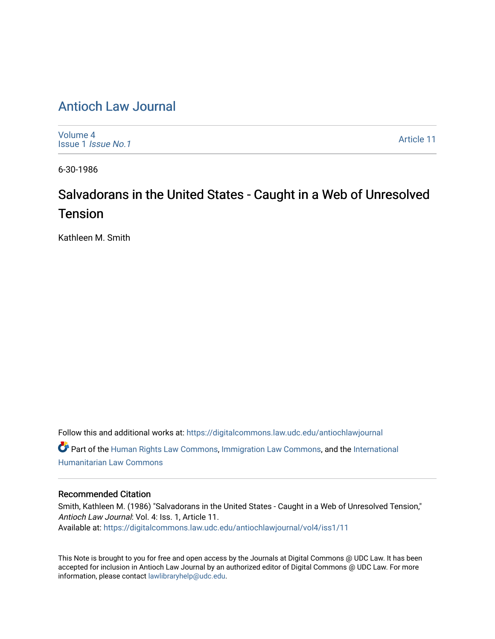## [Antioch Law Journal](https://digitalcommons.law.udc.edu/antiochlawjournal)

[Volume 4](https://digitalcommons.law.udc.edu/antiochlawjournal/vol4) [Issue 1](https://digitalcommons.law.udc.edu/antiochlawjournal/vol4/iss1) Issue No.1

[Article 11](https://digitalcommons.law.udc.edu/antiochlawjournal/vol4/iss1/11) 

6-30-1986

# Salvadorans in the United States - Caught in a Web of Unresolved **Tension**

Kathleen M. Smith

Follow this and additional works at: [https://digitalcommons.law.udc.edu/antiochlawjournal](https://digitalcommons.law.udc.edu/antiochlawjournal?utm_source=digitalcommons.law.udc.edu%2Fantiochlawjournal%2Fvol4%2Fiss1%2F11&utm_medium=PDF&utm_campaign=PDFCoverPages)  Part of the [Human Rights Law Commons,](http://network.bepress.com/hgg/discipline/847?utm_source=digitalcommons.law.udc.edu%2Fantiochlawjournal%2Fvol4%2Fiss1%2F11&utm_medium=PDF&utm_campaign=PDFCoverPages) [Immigration Law Commons](http://network.bepress.com/hgg/discipline/604?utm_source=digitalcommons.law.udc.edu%2Fantiochlawjournal%2Fvol4%2Fiss1%2F11&utm_medium=PDF&utm_campaign=PDFCoverPages), and the [International](http://network.bepress.com/hgg/discipline/1330?utm_source=digitalcommons.law.udc.edu%2Fantiochlawjournal%2Fvol4%2Fiss1%2F11&utm_medium=PDF&utm_campaign=PDFCoverPages) [Humanitarian Law Commons](http://network.bepress.com/hgg/discipline/1330?utm_source=digitalcommons.law.udc.edu%2Fantiochlawjournal%2Fvol4%2Fiss1%2F11&utm_medium=PDF&utm_campaign=PDFCoverPages) 

#### Recommended Citation

Smith, Kathleen M. (1986) "Salvadorans in the United States - Caught in a Web of Unresolved Tension," Antioch Law Journal: Vol. 4: Iss. 1, Article 11. Available at: [https://digitalcommons.law.udc.edu/antiochlawjournal/vol4/iss1/11](https://digitalcommons.law.udc.edu/antiochlawjournal/vol4/iss1/11?utm_source=digitalcommons.law.udc.edu%2Fantiochlawjournal%2Fvol4%2Fiss1%2F11&utm_medium=PDF&utm_campaign=PDFCoverPages) 

This Note is brought to you for free and open access by the Journals at Digital Commons @ UDC Law. It has been accepted for inclusion in Antioch Law Journal by an authorized editor of Digital Commons @ UDC Law. For more information, please contact [lawlibraryhelp@udc.edu.](mailto:lawlibraryhelp@udc.edu)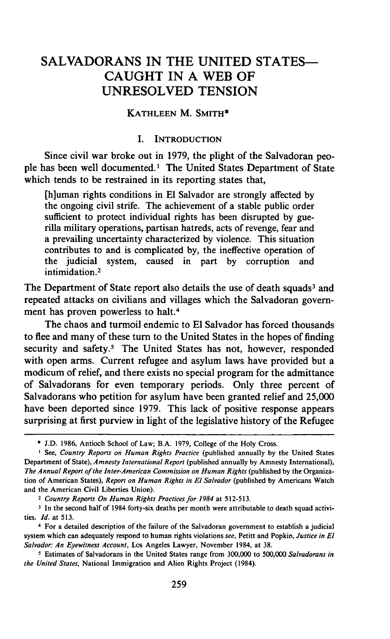### **SALVADORANS** IN THE **UNITED STATES-CAUGHT** IN **A** WEB OF **UNRESOLVED** TENSION

#### **KATHLEEN** M. SMITH\*

#### **I.** INTRODUCTION

Since civil war broke out in 1979, the plight of the Salvadoran people has been well documented.' The United States Department of State which tends to be restrained in its reporting states that,

[h]uman rights conditions in **El** Salvador are strongly affected by the ongoing civil strife. The achievement of a stable public order sufficient to protect individual rights has been disrupted by guerilla military operations, partisan hatreds, acts of revenge, fear and a prevailing uncertainty characterized by violence. This situation contributes to and is complicated by, the ineffective operation of the judicial system, caused in part by corruption and intimidation.<sup>2</sup>

The Department of State report also details the use of death squads<sup>3</sup> and repeated attacks on civilians and villages which the Salvadoran government has proven powerless to halt.<sup>4</sup>

The chaos and turmoil endemic to **El** Salvador has forced thousands to flee and many of these turn to the United States in the hopes of finding security and safety.<sup>5</sup> The United States has not, however, responded with open arms. Current refugee and asylum laws have provided but a modicum of relief, and there exists no special program for the admittance of Salvadorans for even temporary periods. Only three percent of Salvadorans who petition for asylum have been granted relief and 25,000 have been deported since 1979. This lack of positive response appears surprising at first purview in light of the legislative history of the Refugee

**<sup>\*</sup>** J.D. 1986, Antioch School of Law; B.A. 1979, College of the Holy Cross.

See, *Country Reports on Human* Rights *Practice* (published annually **by** the United States Department of State), *Amnesty International* Report (published annually by Amnesty International), *The Annual Report of the Inter-American Commission on Human Rights* (published by the Organization of American States), *Report on Human Rights in El Salvador* (published by Americans Watch and the American Civil Liberties Union).

**<sup>2</sup>***Country Reports On Human Rights Practices for 1984* at 512-513.

**<sup>3</sup>** In the second half of 1984 forty-six deaths per month were attributable to death squad activities. *Id.* at 513.

<sup>4</sup> For a detailed description of the failure of the Salvadoran government to establish a judicial system which can adequately respond to human rights violations *see,* Petitt and Popkin, *Justice in El Salvador: An Eyewitness Account,* Los Angeles Lawyer, November 1984, at 38.

**<sup>5</sup>** Estimates of Salvadorans in the United States range from 300,000 to 500,000 *Salvadorans in the United States,* National Immigration and Alien Rights Project (1984).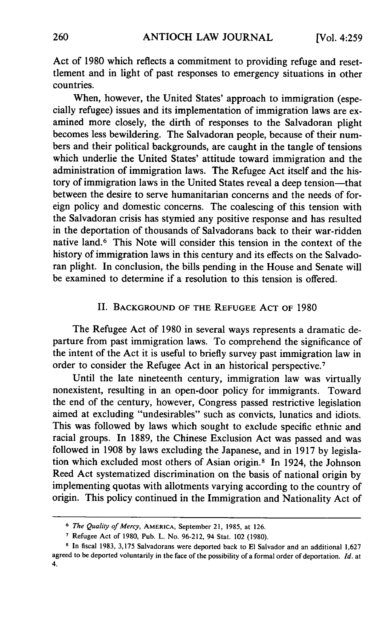Act of 1980 which reflects a commitment to providing refuge and resettlement and in light of past responses to emergency situations in other countries.

When, however, the United States' approach to immigration (especially refugee) issues and its implementation of immigration laws are examined more closely, the dirth of responses to the Salvadoran plight becomes less bewildering. The Salvadoran people, because of their numbers and their political backgrounds, are caught in the tangle of tensions which underlie the United States' attitude toward immigration and the administration of immigration laws. The Refugee Act itself and the history of immigration laws in the United States reveal a deep tension—that between the desire to serve humanitarian concerns and the needs of foreign policy and domestic concerns. The coalescing of this tension with the Salvadoran crisis has stymied any positive response and has resulted in the deportation of thousands of Salvadorans back to their war-ridden native land.<sup>6</sup> This Note will consider this tension in the context of the history of immigration laws in this century and its effects on the Salvadoran plight. In conclusion, the bills pending in the House and Senate will be examined to determine if a resolution to this tension is offered.

#### II. **BACKGROUND OF** THE **REFUGEE ACT** OF 1980

The Refugee Act of 1980 in several ways represents a dramatic departure from past immigration laws. To comprehend the significance of the intent of the Act it is useful to briefly survey past immigration law in order to consider the Refugee Act in an historical perspective. <sup>7</sup>

Until the late nineteenth century, immigration law was virtually nonexistent, resulting in an open-door policy for immigrants. Toward the end of the century, however, Congress passed restrictive legislation aimed at excluding "undesirables" such as convicts, lunatics and idiots. This was followed by laws which sought to exclude specific ethnic and racial groups. In 1889, the Chinese Exclusion Act was passed and was followed in 1908 by laws excluding the Japanese, and in 1917 by legislation which excluded most others of Asian origin.8 In 1924, the Johnson Reed Act systematized discrimination on the basis of national origin by implementing quotas with allotments varying according to the country of origin. This policy continued in the Immigration and Nationality Act of

**<sup>6</sup>***The Quality of Mercy,* AMERICA, September 21, 1985, at 126.

**<sup>7</sup>** Refugee Act of 1980, Pub. L. No. 96-212, 94 Stat. 102 (1980).

**<sup>8</sup>** In fiscal 1983, 3,175 Salvadorans were deported back to El Salvador and an additional 1,627 agreed to be deported voluntarily in the face of the possibility of a formal order of deportation. *Id.* at 4.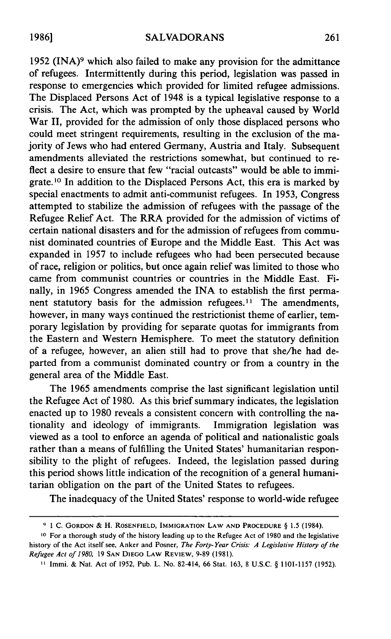1952 (INA)<sup>9</sup> which also failed to make any provision for the admittance of refugees. Intermittently during this period, legislation was passed in response to emergencies which provided for limited refugee admissions. The Displaced Persons Act of 1948 is a typical legislative response to a crisis. The Act, which was prompted by the upheaval caused by World War II, provided for the admission of only those displaced persons who could meet stringent requirements, resulting in the exclusion of the majority of Jews who had entered Germany, Austria and Italy. Subsequent amendments alleviated the restrictions somewhat, but continued to reflect a desire to ensure that few "racial outcasts" would be able to immigrate. **10** In addition to the Displaced Persons Act, this era is marked by special enactments to admit anti-communist refugees. In 1953, Congress attempted to stabilize the admission of refugees with the passage of the Refugee Relief Act. The RRA provided for the admission of victims of certain national disasters and for the admission of refugees from communist dominated countries of Europe and the Middle East. This Act was expanded in 1957 to include refugees who had been persecuted because of race, religion or politics, but once again relief was limited to those who came from communist countries or countries in the Middle East. Finally, in 1965 Congress amended the INA to establish the first permanent statutory basis for the admission refugees.<sup>11</sup> The amendments, however, in many ways continued the restrictionist theme of earlier, temporary legislation by providing for separate quotas for immigrants from the Eastern and Western Hemisphere. To meet the statutory definition of a refugee, however, an alien still had to prove that she/he had departed from a communist dominated country or from a country in the general area of the Middle East.

The 1965 amendments comprise the last significant legislation until the Refugee Act of 1980. As this brief summary indicates, the legislation enacted up to 1980 reveals a consistent concern with controlling the nationality and ideology of immigrants. Immigration legislation was viewed as a tool to enforce an agenda of political and nationalistic goals rather than a means of fulfilling the United States' humanitarian responsibility to the plight of refugees. Indeed, the legislation passed during this period shows little indication of the recognition of a general humanitarian obligation on the part of the United States to refugees.

The inadequacy of the United States' response to world-wide refugee

**<sup>9</sup>** 1 **C.** GORDON & H. **ROSENFIELD, IMMIGRATION** LAW **AND** PROCEDURE § 1.5 (1984).

**<sup>10</sup>** For a thorough study of the history leading up to the Refugee Act of 1980 and the legislative history of the Act itself see, Anker and Posner, *The Forty- Year Crisis: A Legislative History of the Refugee Act of 1980,* 19 **SAN DIEGO LAW REVIEW,** 9-89 (1981).

**<sup>1</sup>** Immi. & Nat. Act of 1952, Pub. L. No. 82-414, 66 Stat. 163, 8 U.S.C. § **1101-1157** (1952).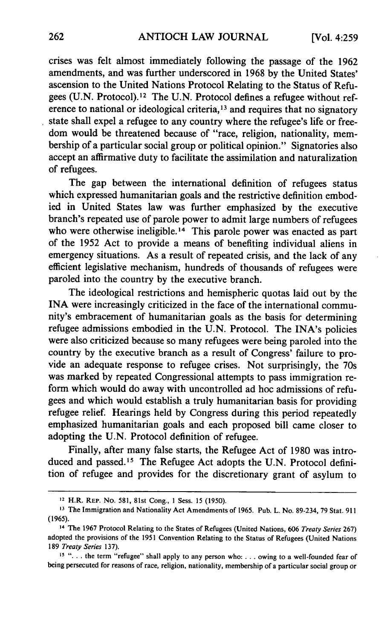crises was felt almost immediately following the passage of the 1962 amendments, and was further underscored in 1968 by the United States' ascension to the United Nations Protocol Relating to the Status of Refugees (U.N. Protocol).<sup>12</sup> The U.N. Protocol defines a refugee without reference to national or ideological criteria, 13 and requires that no signatory state shall expel a refugee to any country where the refugee's life or freedom would be threatened because of "race, religion, nationality, membership of a particular social group or political opinion." Signatories also accept an affirmative duty to facilitate the assimilation and naturalization of refugees.

The gap between the international definition of refugees status which expressed humanitarian goals and the restrictive definition embodied in United States law was further emphasized by the executive branch's repeated use of parole power to admit large numbers of refugees who were otherwise ineligible.<sup>14</sup> This parole power was enacted as part of the 1952 Act to provide a means of benefiting individual aliens in emergency situations. As a result of repeated crisis, and the lack of any efficient legislative mechanism, hundreds of thousands of refugees were paroled into the country by the executive branch.

The ideological restrictions and hemispheric quotas laid out by the INA were increasingly criticized in the face of the international community's embracement of humanitarian goals as the basis for determining refugee admissions embodied in the U.N. Protocol. The INA's policies were also criticized because so many refugees were being paroled into the country by the executive branch as a result of Congress' failure to provide an adequate response to refugee crises. Not surprisingly, the 70s was marked by repeated Congressional attempts to pass immigration reform which would do away with uncontrolled ad hoc admissions of refugees and which would establish a truly humanitarian basis for providing refugee relief. Hearings held by Congress during this period repeatedly emphasized humanitarian goals and each proposed bill came closer to adopting the U.N. Protocol definition of refugee.

Finally, after many false starts, the Refugee Act of 1980 was introduced and passed.15 The Refugee Act adopts the U.N. Protocol definition of refugee and provides for the discretionary grant of asylum to

<sup>12</sup> H.R. REP. No. 581, 81st Cong., **I** Sess. 15 (1950).

**<sup>13</sup>**The Immigration and Nationality Act Amendments of 1965. Pub. L. No. 89-234, 79 Stat. **<sup>911</sup>** (1965).

<sup>14</sup> The 1967 Protocol Relating to the States of Refugees (United Nations, 606 *Treaty Series* 267) adopted the provisions of the 1951 Convention Relating to the Status of Refugees (United Nations 189 *Treaty Series* 137).

**<sup>15</sup>"...** the term "refugee" shall apply to any person who: . . . owing to a well-founded fear of being persecuted for reasons of race, religion, nationality, membership of a particular social group or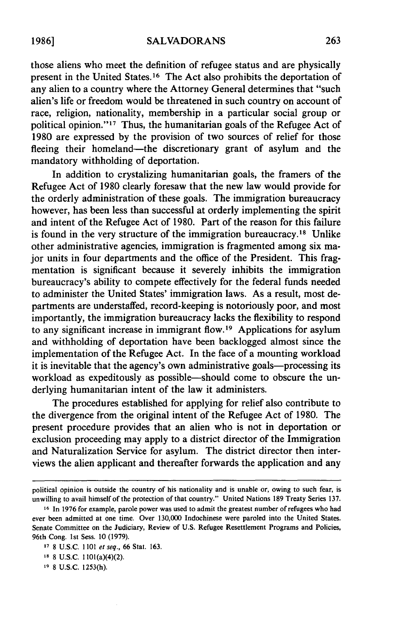those aliens who meet the definition of refugee status and are physically present in the United States.16 The Act also prohibits the deportation of any alien to a country where the Attorney General determines that "such alien's life or freedom would be threatened in such country on account of race, religion, nationality, membership in a particular social group or political opinion." $17$  Thus, the humanitarian goals of the Refugee Act of 1980 are expressed by the provision of two sources of relief for those fleeing their homeland—the discretionary grant of asylum and the mandatory withholding of deportation.

In addition to crystalizing humanitarian goals, the framers of the Refugee Act of 1980 clearly foresaw that the new law would provide for the orderly administration of these goals. The immigration bureaucracy however, has been less than successful at orderly implementing the spirit and intent of the Refugee Act of 1980. Part of the reason for this failure is found in the very structure of the immigration bureaucracy.<sup>18</sup> Unlike other administrative agencies, immigration is fragmented among six major units in four departments and the office of the President. This fragmentation is significant because it severely inhibits the immigration bureaucracy's ability to compete effectively for the federal funds needed to administer the United States' immigration laws. As a result, most departments are understaffed, record-keeping is notoriously poor, and most importantly, the immigration bureaucracy lacks the flexibility to respond to any significant increase in immigrant flow.<sup>19</sup> Applications for asylum and withholding of deportation have been backlogged almost since the implementation of the Refugee Act. In the face of a mounting workload it is inevitable that the agency's own administrative goals—processing its workload as expeditously as possible-should come to obscure the underlying humanitarian intent of the law it administers.

The procedures established for applying for relief also contribute to the divergence from the original intent of the Refugee Act of 1980. The present procedure provides that an alien who is not in deportation or exclusion proceeding may apply to a district director of the Immigration and Naturalization Service for asylum. The district director then interviews the alien applicant and thereafter forwards the application and any

political opinion is outside the country of his nationality and is unable or, owing to such fear, is unwilling to avail himself of the protection of that country." United Nations 189 Treaty Series 137.

**<sup>16</sup>** In 1976 for example, parole power was used to admit the greatest number of refugees who had ever been admitted at one time. Over 130,000 Indochinese were paroled into the United States. Senate Committee on the Judiciary, Review of U.S. Refugee Resettlement Programs and Policies, 96th Cong. 1st Sess. 10 (1979).

**<sup>17</sup>** 8 U.S.C. 1101 *et seq.,* 66 Stat. 163.

**IS** 8 U.S.C. 1101(a)(4)(2).

**<sup>19</sup>** 8 U.S.C. 1253(h).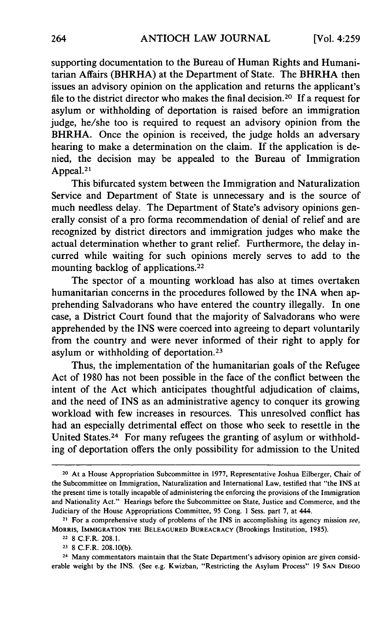supporting documentation to the Bureau of Human Rights and Humanitarian Affairs (BHRHA) at the Department of State. The BHRHA then issues an advisory opinion on the application and returns the applicant's file to the district director who makes the final decision. 20 If a request for asylum or withholding of deportation is raised before an immigration judge, he/she too is required to request an advisory opinion from the BHRHA. Once the opinion is received, the judge holds an adversary hearing to make a determination on the claim. If the application is denied, the decision may be appealed to the Bureau of Immigration Appeal. $21$ 

This bifurcated system between the Immigration and Naturalization Service and Department of State is unnecessary and is the source of much needless delay. The Department of State's advisory opinions generally consist of a pro forma recommendation of denial of relief and are recognized by district directors and immigration judges who make the actual determination whether to grant relief. Furthermore, the delay incurred while waiting for such opinions merely serves to add to the mounting backlog of applications. <sup>22</sup>

The spector of a mounting workload has also at times overtaken humanitarian concerns in the procedures followed by the INA when apprehending Salvadorans who have entered the country illegally. In one case, a District Court found that the majority of Salvadorans who were apprehended by the INS were coerced into agreeing to depart voluntarily from the country and were never informed of their right to apply for asylum or withholding of deportation.<sup>23</sup>

Thus, the implementation of the humanitarian goals of the Refugee Act of 1980 has not been possible in the face of the conflict between the intent of the Act which anticipates thoughtful adjudication of claims, and the need of INS as an administrative agency to conquer its growing workload with few increases in resources. This unresolved conflict has had an especially detrimental effect on those who seek to resettle in the United States.24 For many refugees the granting of asylum or withholding of deportation offers the only possibility for admission to the United

24 Many commentators maintain that the State Department's advisory opinion are given considerable weight by the INS. (See e.g. Kwizban, "Restricting the Asylum Process" 19 **SAN DIEGO**

<sup>20</sup> At a House Appropriation Subcommittee in 1977, Representative Joshua Eilberger, Chair of the Subcommittee on Immigration, Naturalization and International Law, testified that "the INS at the present time is totally incapable of administering the enforcing the provisions of the Immigration and Nationality Act." Hearings before the Subcommittee on State, Justice and Commerce, and the Judiciary of the House Appropriations Committee, 95 Cong. **I** Sess. part 7, at 444.

<sup>&</sup>lt;sup>21</sup> For a comprehensive study of problems of the INS in accomplishing its agency mission see, MORRIS, IMMIGRATION THE **BELEAGURED** BUREACRACY (Brookings Institution, 1985).

<sup>22 8</sup> C.F.R. 208.1.

**<sup>23</sup>** 8 C.F.R. 208.10(b).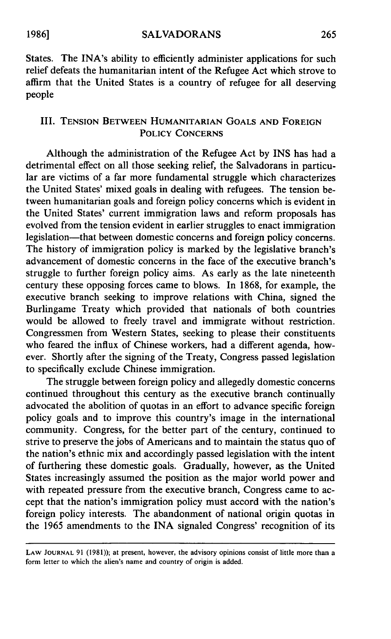States. The INA's ability to efficiently administer applications for such relief defeats the humanitarian intent of the Refugee Act which strove to affirm that the United States is a country of refugee for all deserving people

#### III. **TENSION BETWEEN** HUMANITARIAN **GOALS AND FOREIGN** POLICY **CONCERNS**

Although the administration of the Refugee Act **by** INS has had a detrimental effect on all those seeking relief, the Salvadorans in particular are victims of a far more fundamental struggle which characterizes the United States' mixed goals in dealing with refugees. The tension between humanitarian goals and foreign policy concerns which is evident in the United States' current immigration laws and reform proposals has evolved from the tension evident in earlier struggles to enact immigration legislation—that between domestic concerns and foreign policy concerns. The history of immigration policy is marked **by** the legislative branch's advancement of domestic concerns in the face of the executive branch's struggle to further foreign policy aims. As early as the late nineteenth century these opposing forces came to blows. In 1868, for example, the executive branch seeking to improve relations with China, signed the Burlingame Treaty which provided that nationals of both countries would be allowed to freely travel and immigrate without restriction. Congressmen from Western States, seeking to please their constituents who feared the influx of Chinese workers, had a different agenda, however. Shortly after the signing of the Treaty, Congress passed legislation to specifically exclude Chinese immigration.

The struggle between foreign policy and allegedly domestic concerns continued throughout this century as the executive branch continually advocated the abolition of quotas in an effort to advance specific foreign policy goals and to improve this country's image in the international community. Congress, for the better part of the century, continued to strive to preserve the jobs of Americans and to maintain the status quo of the nation's ethnic mix and accordingly passed legislation with the intent of furthering these domestic goals. Gradually, however, as the United States increasingly assumed the position as the major world power and with repeated pressure from the executive branch, Congress came to accept that the nation's immigration policy must accord with the nation's foreign policy interests. The abandonment of national origin quotas in the 1965 amendments to the INA signaled Congress' recognition of its

LAW **JOURNAL** 91 (1981)); at present, however, the advisory opinions consist of little more than a form letter to which the alien's name and country of origin is added.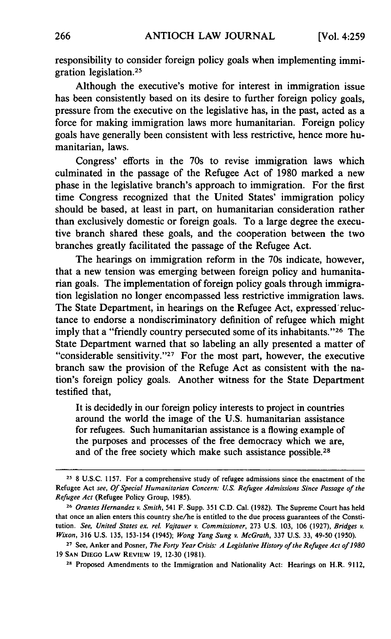responsibility to consider foreign policy goals when implementing immigration legislation. <sup>25</sup>

Although the executive's motive for interest in immigration issue has been consistently based on its desire to further foreign policy goals, pressure from the executive on the legislative has, in the past, acted as a force for making immigration laws more humanitarian. Foreign policy goals have generally been consistent with less restrictive, hence more humanitarian, laws.

Congress' efforts in the 70s to revise immigration laws which culminated in the passage of the Refugee Act of 1980 marked a new phase in the legislative branch's approach to immigration. For the first time Congress recognized that the United States' immigration policy should be based, at least in part, on humanitarian consideration rather than exclusively domestic or foreign goals. To a large degree the executive branch shared these goals, and the cooperation between the two branches greatly facilitated the passage of the Refugee Act.

The hearings on immigration reform in the 70s indicate, however, that a new tension was emerging between foreign policy and humanitarian goals. The implementation of foreign policy goals through immigration legislation no longer encompassed less restrictive immigration laws. The State Department, in hearings on the Refugee Act, expressed' reluctance to endorse a nondiscriminatory definition of refugee which might imply that a "friendly country persecuted some of its inhabitants."<sup>26</sup> The State Department warned that so labeling an ally presented a matter of "considerable sensitivity. '27 For the most part, however, the executive branch saw the provision of the Refuge Act as consistent with the nation's foreign policy goals. Another witness for the State Department testified that,

It is decidedly in our foreign policy interests to project in countries around the world the image of the U.S. humanitarian assistance for refugees. Such humanitarian assistance is a flowing example of the purposes and processes of the free democracy which we are, and of the free society which make such assistance possible.<sup>28</sup>

**<sup>25</sup>** 8 U.S.C. 1157. For a comprehensive study of refugee admissions since the enactment of the Refugee Act *see, Of Special Humanitarian Concern: U.S. Refugee* Admissions Since Passage of the *Refugee Act* (Refugee Policy Group, 1985).

**<sup>26</sup>** *OrantesHernandez v. Smith,* 541 F. Supp. 351 C.D. Cal. (1982). The Supreme Court has held that once an alien enters this country she/he is entitled to the due process guarantees of the Constitution. See, United States ex. rel. Vajtauer v. Commissioner, 273 U.S. 103, 106 (1927), Bridges v. *Wixon,* 316 U.S. 135, 153-154 (1945); Wong Yang Sung v. *McGrath,* 337 U.S. 33, 49-50 (1950).

**<sup>27</sup>**See, Anker and Posner, The Forty Year Crisis: A Legislative History of the Refugee Act of *1980* 19 **SAN** DIEGO LAW REVIEW 19, 12-30 (1981).

**<sup>28</sup>** Proposed Amendments to the Immigration and Nationality Act: Hearings on H.R. 9112,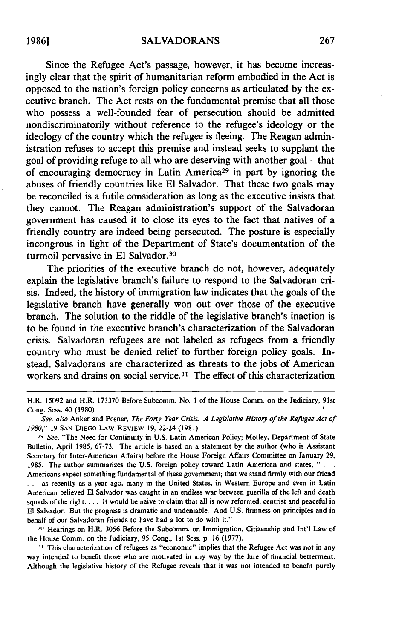Since the Refugee Act's passage, however, it has become increasingly clear that the spirit of humanitarian reform embodied in the Act is opposed to the nation's foreign policy concerns as articulated by the executive branch. The Act rests on the fundamental premise that all those who possess a well-founded fear of persecution should be admitted nondiscriminatorily without reference to the refugee's ideology or the ideology of the country which the refugee is fleeing. The Reagan administration refuses to accept this premise and instead seeks to supplant the goal of providing refuge to all who are deserving with another goal—that of encouraging democracy in Latin America<sup>29</sup> in part by ignoring the abuses of friendly countries like **El** Salvador. That these two goals may be reconciled is a futile consideration as long as the executive insists that they cannot. The Reagan administration's support of the Salvadoran government has caused it to close its eyes to the fact that natives of a friendly country are indeed being persecuted. The posture is especially incongrous in light of the Department of State's documentation of the turmoil pervasive in **El** Salvador. <sup>30</sup>

The priorities of the executive branch do not, however, adequately explain the legislative branch's failure to respond to the Salvadoran crisis. Indeed, the history of immigration law indicates that the goals of the legislative branch have generally won out over those of the executive branch. The solution to the riddle of the legislative branch's inaction is to be found in the executive branch's characterization of the Salvadoran crisis. Salvadoran refugees are not labeled as refugees from a friendly country who must be denied relief to further foreign policy goals. Instead, Salvadorans are characterized as threats to the jobs of American workers and drains on social service.<sup>31</sup> The effect of this characterization

**<sup>29</sup>***See,* "The Need for Continuity in U.S. Latin American Policy; Motley, Department of State Bulletin, April 1985, 67-73. The article is based on a statement by the author (who is Assistant Secretary for Inter-American Affairs) before the House Foreign Affairs Committee on January **29,** 1985. The author summarizes the U.S. foreign policy toward Latin American and states, **...** Americans expect something fundamental of these government; that we stand firmly with our friend **...** as recently as a year ago, many in the United States, in Western Europe and even in Latin American believed **El** Salvador was caught in an endless war between guerilla of the left and death squads of the right.... It would be naive to claim that all is now reformed, centrist and peaceful in **El** Salvador. But the progress is dramatic and undeniable. And **U.S.** firmness on principles and in behalf of our Salvadoran friends to have had a lot to do with it."

**<sup>30</sup>**Hearings on H.R. 3056 Before the Subcomm. on Immigration, Citizenship and Int'l Law of the House Comm. on the Judiciary, 95 Cong., **1st** Sess. p. 16 **(1977).**

**31** This characterization of refugees as "economic" implies that the Refugee Act was not in any way intended to benefit those who are motivated in any way by the lure of financial betterment. Although the legislative history of the Refugee reveals that it was not intended to benefit purely

H.R. 15092 and H.R. 173370 Before Subcomm. No. **I** of the House Comm. on the Judiciary, 91st Cong. Sess. 40 **(1980).**

*See, also* Anker and Posner, *The Forty Year Crisis: A Legislative History of the Refugee Act of 1980,"* 19 **SAN** DIEGO LAW REVIEW **19,** 22-24 (1981).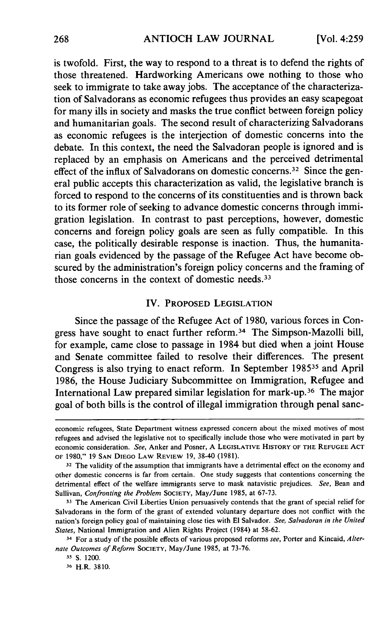is twofold. First, the way to respond to a threat is to defend the rights of those threatened. Hardworking Americans owe nothing to those who seek to immigrate to take away jobs. The acceptance of the characterization of Salvadorans as economic refugees thus provides an easy scapegoat for many ills in society and masks the true conflict between foreign policy and humanitarian goals. The second result of characterizing Salvadorans as economic refugees is the interjection of domestic concerns into the debate. In this context, the need the Salvadoran people is ignored and is replaced by an emphasis on Americans and the perceived detrimental effect of the influx of Salvadorans on domestic concerns.<sup>32</sup> Since the general public accepts this characterization as valid, the legislative branch is forced to respond to the concerns of its constituenties and is thrown back to its former role of seeking to advance domestic concerns through immigration legislation. In contrast to past perceptions, however, domestic concerns and foreign policy goals are seen as fully compatible. In this case, the politically desirable response is inaction. Thus, the humanitarian goals evidenced by the passage of the Refugee Act have become obscured by the administration's foreign policy concerns and the framing of those concerns in the context of domestic needs. <sup>33</sup>

#### IV. PROPOSED LEGISLATION

Since the passage of the Refugee Act of 1980, various forces in Congress have sought to enact further reform. 34 The Simpson-Mazolli bill, for example, came close to passage in 1984 but died when a joint House and Senate committee failed to resolve their differences. The present Congress is also trying to enact reform. In September **198535** and April 1986, the House Judiciary Subcommittee on Immigration, Refugee and International Law prepared similar legislation for mark-up. 36 The major goal of both bills is the control of illegal immigration through penal sanc-

economic refugees, State Department witness expressed concern about the mixed motives of most refugees and advised the legislative not to specifically include those who were motivated in part by economic consideration. See, Anker and Posner, A **LEGISLATIVE** HISTORY OF THE **REFUGEE ACT** OF 1980," 19 **SAN** DIEGO LAW REVIEW 19, 38-40 (1981).

**<sup>32</sup>** The validity of the assumption that immigrants have a detrimental effect on the economy and other domestic concerns is far from certain. One study suggests that contentions concerning the detrimental effect of the welfare immigrants serve to mask natavistic prejudices. See, Bean and Sullivan, Confronting the Problem **SOCIETY,** May/June 1985, at 67-73.

**<sup>33</sup>** The American Civil Liberties Union persuasively contends that the grant of special relief for Salvadorans in the form of the grant of extended voluntary departure does not conflict with the nation's foreign policy goal of maintaining close ties with El Salvador. *See, Salvadoran in the United States,* National Immigration and Alien Rights Project (1984) at 58-62.

**<sup>34</sup>** For a study of the possible effects of various proposed reforms *see,* Porter and Kincaid, *Alternate Outcomes of Reform* **SOCIETY,** May/June 1985, at 73-76.

**<sup>-5</sup>** S. 1200.

**<sup>36</sup>** H.R. 3810.